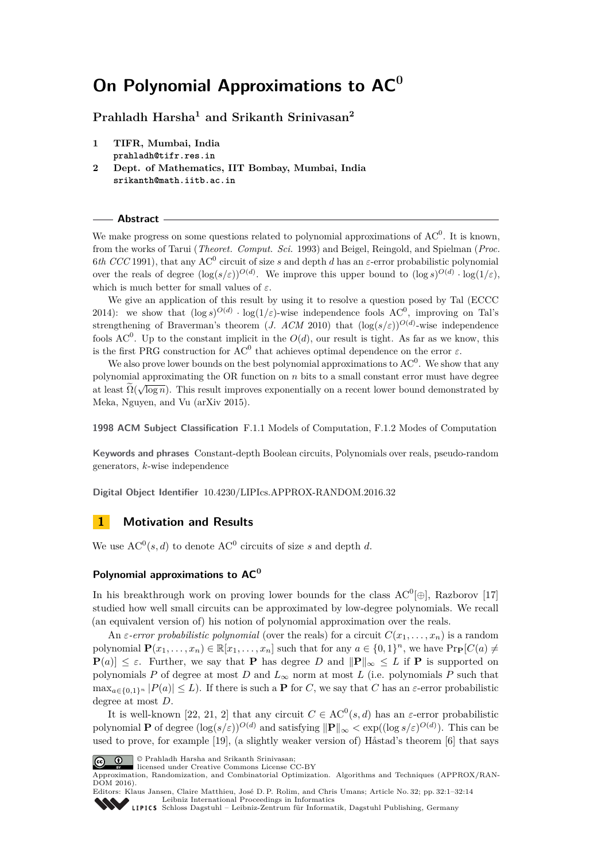# **On Polynomial Approximations to AC<sup>0</sup>**

**Prahladh Harsha<sup>1</sup> and Srikanth Srinivasan<sup>2</sup>**

- **1 TIFR, Mumbai, India prahladh@tifr.res.in**
- **2 Dept. of Mathematics, IIT Bombay, Mumbai, India srikanth@math.iitb.ac.in**

**Abstract**

We make progress on some questions related to polynomial approximations of  $AC^0$ . It is known, from the works of Tarui (*Theoret. Comput. Sci.* 1993) and Beigel, Reingold, and Spielman (*Proc.* 6*th CCC* 1991), that any AC<sup>0</sup> circuit of size *s* and depth *d* has an *ε*-error probabilistic polynomial over the reals of degree  $(\log(s/\varepsilon))^{O(d)}$ . We improve this upper bound to  $(\log s)^{O(d)} \cdot \log(1/\varepsilon)$ , which is much better for small values of *ε*.

We give an application of this result by using it to resolve a question posed by Tal (ECCC 2014): we show that  $(\log s)^{O(d)} \cdot \log(1/\varepsilon)$ -wise independence fools AC<sup>0</sup>, improving on Tal's strengthening of Braverman's theorem (*J. ACM* 2010) that  $(\log(s/\varepsilon))^{O(d)}$ -wise independence fools  $AC^0$ . Up to the constant implicit in the  $O(d)$ , our result is tight. As far as we know, this is the first PRG construction for  $AC^0$  that achieves optimal dependence on the error  $\varepsilon$ .

We also prove lower bounds on the best polynomial approximations to  $AC^0$ . We show that any polynomial approximating the OR function on *n* bits to a small constant error must have degree at least  $\Omega(\sqrt{\log n})$ . This result improves exponentially on a recent lower bound demonstrated by Meka, Nguyen, and Vu (arXiv 2015).

**1998 ACM Subject Classification** F.1.1 Models of Computation, F.1.2 Modes of Computation

**Keywords and phrases** Constant-depth Boolean circuits, Polynomials over reals, pseudo-random generators, *k*-wise independence

**Digital Object Identifier** [10.4230/LIPIcs.APPROX-RANDOM.2016.32](http://dx.doi.org/10.4230/LIPIcs.APPROX-RANDOM.2016.32)

# **1 Motivation and Results**

We use  $AC^0(s, d)$  to denote  $AC^0$  circuits of size *s* and depth *d*.

# **Polynomial approximations to AC<sup>0</sup>**

In his breakthrough work on proving lower bounds for the class  $AC^0[\oplus]$ , Razborov [\[17\]](#page-12-0) studied how well small circuits can be approximated by low-degree polynomials. We recall (an equivalent version of) his notion of polynomial approximation over the reals.

An *ε-error probabilistic polynomial* (over the reals) for a circuit  $C(x_1, \ldots, x_n)$  is a random polynomial  $\mathbf{P}(x_1, \ldots, x_n) \in \mathbb{R}[x_1, \ldots, x_n]$  such that for any  $a \in \{0, 1\}^n$ , we have  $\text{Pr}_{\mathbf{P}}[C(a) \neq 0]$  $P(a) \leq \varepsilon$ . Further, we say that **P** has degree *D* and  $||P||_{\infty} \leq L$  if **P** is supported on polynomials *P* of degree at most *D* and  $L_{\infty}$  norm at most *L* (i.e. polynomials *P* such that  $\max_{a \in \{0,1\}^n} |P(a)| \leq L$ . If there is such a **P** for *C*, we say that *C* has an *ε*-error probabilistic degree at most *D*.

It is well-known [\[22,](#page-12-1) [21,](#page-12-2) [2\]](#page-11-0) that any circuit  $C \in AC^0(s, d)$  has an *ε*-error probabilistic polynomial **P** of degree  $(\log(s/\varepsilon))^{O(d)}$  and satisfying  $\|\mathbf{P}\|_{\infty} < \exp((\log s/\varepsilon)^{O(d)})$ . This can be used to prove, for example [\[19\]](#page-12-3), (a slightly weaker version of) Håstad's theorem [\[6\]](#page-11-1) that says



 $\boxed{\text{c}}$   $\boxed{\text{ }0\quad}$  © Prahladh Harsha and Srikanth Srinivasan: licensed under Creative Commons License CC-BY

Approximation, Randomization, and Combinatorial Optimization. Algorithms and Techniques (APPROX/RAN-DOM 2016).



Editors: Klaus Jansen, Claire Matthieu, José D. P. Rolim, and Chris Umans; Article No. 32; pp. 32:1–32[:14](#page-13-0)

[Leibniz International Proceedings in Informatics](http://www.dagstuhl.de/lipics/) [Schloss Dagstuhl – Leibniz-Zentrum für Informatik, Dagstuhl Publishing, Germany](http://www.dagstuhl.de)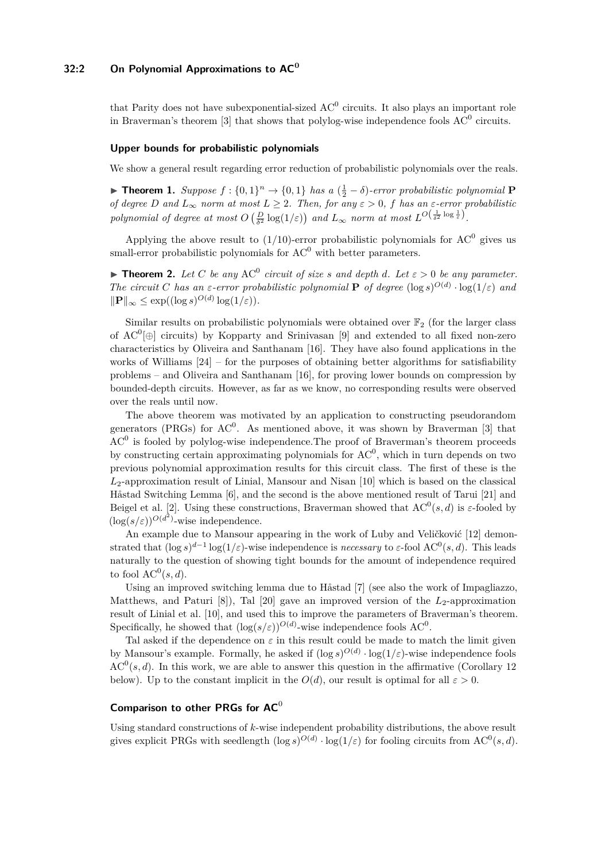# **32:2 On Polynomial Approximations to AC<sup>0</sup>**

that Parity does not have subexponential-sized  $AC^0$  circuits. It also plays an important role in Braverman's theorem [\[3\]](#page-11-2) that shows that polylog-wise independence fools  $AC^0$  circuits.

#### **Upper bounds for probabilistic polynomials**

We show a general result regarding error reduction of probabilistic polynomials over the reals.

<span id="page-1-0"></span>**► Theorem 1.** *Suppose*  $f : \{0,1\}^n \to \{0,1\}$  *has a*  $(\frac{1}{2} - \delta)$ *-error probabilistic polynomial* **P** *of degree D* and  $L_{\infty}$  *norm at most*  $L \geq 2$ *. Then, for any*  $\varepsilon > 0$ *, f has an*  $\varepsilon$ *-error probabilistic polynomial of degree at most*  $O\left(\frac{D}{\delta^2} \log(1/\varepsilon)\right)$  *and*  $L_\infty$  *norm at most*  $L^{O\left(\frac{1}{\delta^2} \log \frac{1}{\varepsilon}\right)}$ .

Applying the above result to  $(1/10)$ -error probabilistic polynomials for  $AC^0$  gives us small-error probabilistic polynomials for  $AC^0$  with better parameters.

<span id="page-1-1"></span>**Find 1.** Let *C* be any  $AC^0$  circuit of size *s* and depth *d*. Let  $\varepsilon > 0$  be any parameter. *The circuit C has an ε-error probabilistic polynomial* **P** *of degree*  $(\log s)^{O(d)} \cdot \log(1/\varepsilon)$  *and*  $\|\mathbf{P}\|_{\infty} \leq \exp((\log s)^{O(d)} \log(1/\varepsilon)).$ 

Similar results on probabilistic polynomials were obtained over  $\mathbb{F}_2$  (for the larger class of  $AC^0[\oplus]$  circuits) by Kopparty and Srinivasan [\[9\]](#page-11-3) and extended to all fixed non-zero characteristics by Oliveira and Santhanam [\[16\]](#page-12-4). They have also found applications in the works of Williams  $[24]$  – for the purposes of obtaining better algorithms for satisfiability problems – and Oliveira and Santhanam [\[16\]](#page-12-4), for proving lower bounds on compression by bounded-depth circuits. However, as far as we know, no corresponding results were observed over the reals until now.

The above theorem was motivated by an application to constructing pseudorandom generators (PRGs) for  $AC^0$ . As mentioned above, it was shown by Braverman [\[3\]](#page-11-2) that  $AC<sup>0</sup>$  is fooled by polylog-wise independence. The proof of Braverman's theorem proceeds by constructing certain approximating polynomials for  $AC<sup>0</sup>$ , which in turn depends on two previous polynomial approximation results for this circuit class. The first of these is the *L*2-approximation result of Linial, Mansour and Nisan [\[10\]](#page-11-4) which is based on the classical Håstad Switching Lemma [\[6\]](#page-11-1), and the second is the above mentioned result of Tarui [\[21\]](#page-12-2) and Beigel et al. [\[2\]](#page-11-0). Using these constructions, Braverman showed that  $AC^0(s, d)$  is  $\varepsilon$ -fooled by  $(\log(s/\varepsilon))^{O(d^2)}$ -wise independence.

An example due to Mansour appearing in the work of Luby and Veličković [\[12\]](#page-11-5) demonstrated that  $(\log s)^{d-1} \log(1/\varepsilon)$ -wise independence is *necessary* to  $\varepsilon$ -fool AC<sup>0</sup>(s, d). This leads naturally to the question of showing tight bounds for the amount of independence required to fool  $\mathrm{AC}^0(s, d)$ .

Using an improved switching lemma due to Håstad [\[7\]](#page-11-6) (see also the work of Impagliazzo, Matthews, and Paturi  $[8]$ , Tal  $[20]$  gave an improved version of the  $L_2$ -approximation result of Linial et al. [\[10\]](#page-11-4), and used this to improve the parameters of Braverman's theorem. Specifically, he showed that  $(\log(s/\varepsilon))^{O(d)}$ -wise independence fools AC<sup>0</sup>.

Tal asked if the dependence on  $\varepsilon$  in this result could be made to match the limit given by Mansour's example. Formally, he asked if  $(\log s)^{O(d)} \cdot \log(1/\varepsilon)$ -wise independence fools  $AC<sup>0</sup>(s, d)$ . In this work, we are able to answer this question in the affirmative (Corollary [12](#page-7-0)) below). Up to the constant implicit in the  $O(d)$ , our result is optimal for all  $\varepsilon > 0$ .

# **Comparison to other PRGs for AC**<sup>0</sup>

Using standard constructions of *k*-wise independent probability distributions, the above result gives explicit PRGs with seedlength  $(\log s)^{O(d)} \cdot \log(1/\varepsilon)$  for fooling circuits from AC<sup>0</sup>(s, d).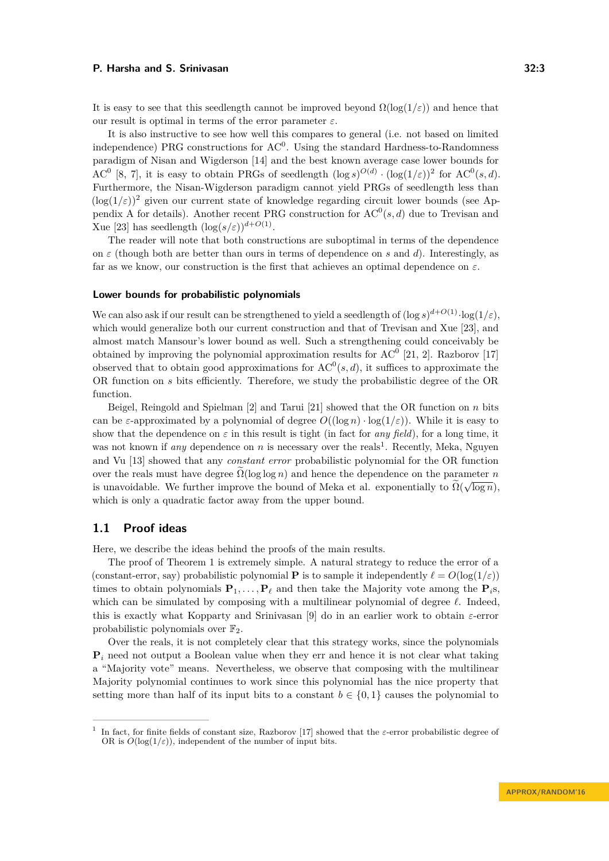It is easy to see that this seedlength cannot be improved beyond  $\Omega(\log(1/\varepsilon))$  and hence that our result is optimal in terms of the error parameter  $\varepsilon$ .

It is also instructive to see how well this compares to general (i.e. not based on limited independence) PRG constructions for  $AC^0$ . Using the standard Hardness-to-Randomness paradigm of Nisan and Wigderson [\[14\]](#page-12-7) and the best known average case lower bounds for AC<sup>0</sup> [\[8,](#page-11-7) [7\]](#page-11-6), it is easy to obtain PRGs of seedlength  $(\log s)^{O(d)} \cdot (\log(1/\varepsilon))^2$  for AC<sup>0</sup>(s,d). Furthermore, the Nisan-Wigderson paradigm cannot yield PRGs of seedlength less than  $(\log(1/\varepsilon))^2$  given our current state of knowledge regarding circuit lower bounds (see Ap-pendix [A](#page-12-8) for details). Another recent PRG construction for  $AC^0(s, d)$  due to Trevisan and Xue [\[23\]](#page-12-9) has seedlength  $(\log(s/\varepsilon))^{d+O(1)}$ .

The reader will note that both constructions are suboptimal in terms of the dependence on  $\varepsilon$  (though both are better than ours in terms of dependence on  $s$  and  $d$ ). Interestingly, as far as we know, our construction is the first that achieves an optimal dependence on *ε*.

#### **Lower bounds for probabilistic polynomials**

We can also ask if our result can be strengthened to yield a seedlength of  $(\log s)^{d+O(1)} \cdot \log(1/\varepsilon)$ , which would generalize both our current construction and that of Trevisan and Xue [\[23\]](#page-12-9), and almost match Mansour's lower bound as well. Such a strengthening could conceivably be obtained by improving the polynomial approximation results for  $AC^0$  [\[21,](#page-12-2) [2\]](#page-11-0). Razborov [\[17\]](#page-12-0) observed that to obtain good approximations for  $AC^0(s, d)$ , it suffices to approximate the OR function on *s* bits efficiently. Therefore, we study the probabilistic degree of the OR function.

Beigel, Reingold and Spielman [\[2\]](#page-11-0) and Tarui [\[21\]](#page-12-2) showed that the OR function on *n* bits can be *ε*-approximated by a polynomial of degree  $O((\log n) \cdot \log(1/\varepsilon))$ . While it is easy to show that the dependence on  $\varepsilon$  in this result is tight (in fact for *any field*), for a long time, it was not known if *any* dependence on  $n$  is necessary over the reals<sup>[1](#page-2-0)</sup>. Recently, Meka, Nguyen and Vu [\[13\]](#page-11-8) showed that any *constant error* probabilistic polynomial for the OR function over the reals must have degree  $\Omega(\log \log n)$  and hence the dependence on the parameter *n* is unavoidable. We further improve the bound of Meka et al. exponentially to  $\Omega(\sqrt{\log n})$ , which is only a quadratic factor away from the upper bound.

### **1.1 Proof ideas**

Here, we describe the ideas behind the proofs of the main results.

The proof of Theorem [1](#page-1-0) is extremely simple. A natural strategy to reduce the error of a (constant-error, say) probabilistic polynomial **P** is to sample it independently  $\ell = O(\log(1/\varepsilon))$ times to obtain polynomials  $\mathbf{P}_1, \ldots, \mathbf{P}_\ell$  and then take the Majority vote among the  $\mathbf{P}_i$ s, which can be simulated by composing with a multilinear polynomial of degree  $\ell$ . Indeed, this is exactly what Kopparty and Srinivasan [\[9\]](#page-11-3) do in an earlier work to obtain *ε*-error probabilistic polynomials over  $\mathbb{F}_2$ .

Over the reals, it is not completely clear that this strategy works, since the polynomials  $P_i$  need not output a Boolean value when they err and hence it is not clear what taking a "Majority vote" means. Nevertheless, we observe that composing with the multilinear Majority polynomial continues to work since this polynomial has the nice property that setting more than half of its input bits to a constant  $b \in \{0,1\}$  causes the polynomial to

<span id="page-2-0"></span><sup>1</sup> In fact, for finite fields of constant size, Razborov [\[17\]](#page-12-0) showed that the *ε*-error probabilistic degree of OR is  $O(\log(1/\varepsilon))$ , independent of the number of input bits.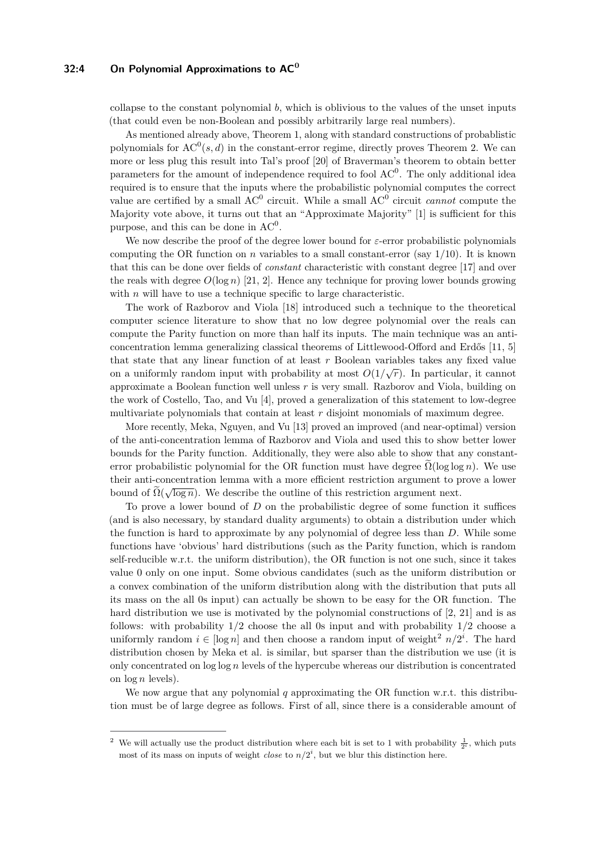## **32:4 On Polynomial Approximations to AC<sup>0</sup>**

collapse to the constant polynomial *b*, which is oblivious to the values of the unset inputs (that could even be non-Boolean and possibly arbitrarily large real numbers).

As mentioned already above, Theorem [1,](#page-1-0) along with standard constructions of probablistic polynomials for  $AC^0(s, d)$  in the constant-error regime, directly proves Theorem [2.](#page-1-1) We can more or less plug this result into Tal's proof [\[20\]](#page-12-6) of Braverman's theorem to obtain better parameters for the amount of independence required to fool  $AC^0$ . The only additional idea required is to ensure that the inputs where the probabilistic polynomial computes the correct value are certified by a small  $AC^0$  circuit. While a small  $AC^0$  circuit *cannot* compute the Majority vote above, it turns out that an "Approximate Majority" [\[1\]](#page-11-9) is sufficient for this purpose, and this can be done in  $AC^0$ .

We now describe the proof of the degree lower bound for *ε*-error probabilistic polynomials computing the OR function on  $n$  variables to a small constant-error (say  $1/10$ ). It is known that this can be done over fields of *constant* characteristic with constant degree [\[17\]](#page-12-0) and over the reals with degree  $O(\log n)$  [\[21,](#page-12-2) [2\]](#page-11-0). Hence any technique for proving lower bounds growing with *n* will have to use a technique specific to large characteristic.

The work of Razborov and Viola [\[18\]](#page-12-10) introduced such a technique to the theoretical computer science literature to show that no low degree polynomial over the reals can compute the Parity function on more than half its inputs. The main technique was an anticoncentration lemma generalizing classical theorems of Littlewood-Offord and Erdős [\[11,](#page-11-10) [5\]](#page-11-11) that state that any linear function of at least *r* Boolean variables takes any fixed value on a uniformly random input with probability at most  $O(1/\sqrt{r})$ . In particular, it cannot approximate a Boolean function well unless *r* is very small. Razborov and Viola, building on the work of Costello, Tao, and Vu [\[4\]](#page-11-12), proved a generalization of this statement to low-degree multivariate polynomials that contain at least *r* disjoint monomials of maximum degree.

More recently, Meka, Nguyen, and Vu [\[13\]](#page-11-8) proved an improved (and near-optimal) version of the anti-concentration lemma of Razborov and Viola and used this to show better lower bounds for the Parity function. Additionally, they were also able to show that any constanterror probabilistic polynomial for the OR function must have degree  $\Omega(\log \log n)$ . We use their anti-concentration lemma with a more efficient restriction argument to prove a lower bound of  $\Omega(\sqrt{\log n})$ . We describe the outline of this restriction argument next.

To prove a lower bound of *D* on the probabilistic degree of some function it suffices (and is also necessary, by standard duality arguments) to obtain a distribution under which the function is hard to approximate by any polynomial of degree less than *D*. While some functions have 'obvious' hard distributions (such as the Parity function, which is random self-reducible w.r.t. the uniform distribution), the OR function is not one such, since it takes value 0 only on one input. Some obvious candidates (such as the uniform distribution or a convex combination of the uniform distribution along with the distribution that puts all its mass on the all 0s input) can actually be shown to be easy for the OR function. The hard distribution we use is motivated by the polynomial constructions of [\[2,](#page-11-0) [21\]](#page-12-2) and is as follows: with probability 1*/*2 choose the all 0s input and with probability 1*/*2 choose a uniformly random  $i \in [\log n]$  and then choose a random input of weight<sup>[2](#page-3-0)</sup>  $n/2^i$ . The hard distribution chosen by Meka et al. is similar, but sparser than the distribution we use (it is only concentrated on log log *n* levels of the hypercube whereas our distribution is concentrated on log *n* levels).

We now argue that any polynomial *q* approximating the OR function w.r.t. this distribution must be of large degree as follows. First of all, since there is a considerable amount of

<span id="page-3-0"></span><sup>&</sup>lt;sup>2</sup> We will actually use the product distribution where each bit is set to 1 with probability  $\frac{1}{2^i}$ , which puts most of its mass on inputs of weight *close* to  $n/2^i$ , but we blur this distinction here.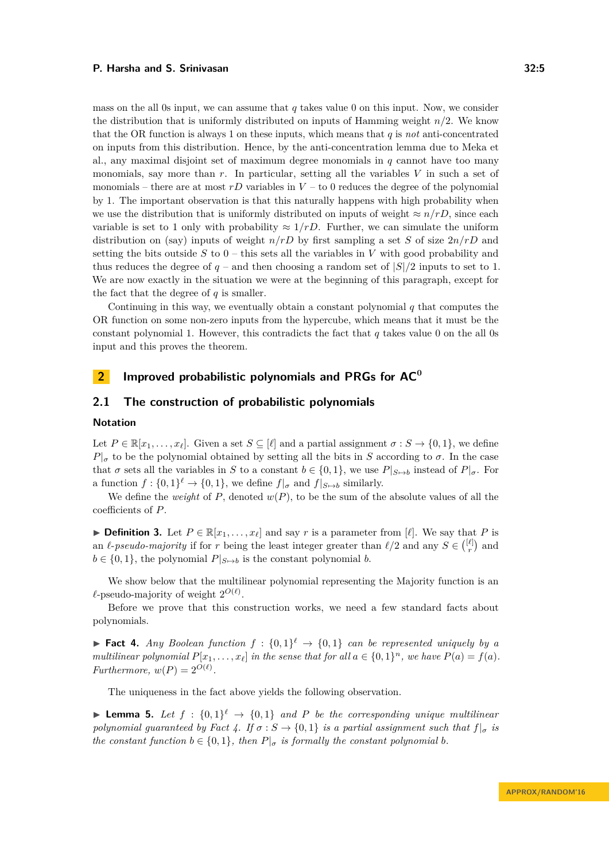mass on the all 0s input, we can assume that  $q$  takes value 0 on this input. Now, we consider the distribution that is uniformly distributed on inputs of Hamming weight *n/*2. We know that the OR function is always 1 on these inputs, which means that *q* is *not* anti-concentrated on inputs from this distribution. Hence, by the anti-concentration lemma due to Meka et al., any maximal disjoint set of maximum degree monomials in *q* cannot have too many monomials, say more than *r*. In particular, setting all the variables *V* in such a set of monomials – there are at most  $rD$  variables in  $V$  – to 0 reduces the degree of the polynomial by 1. The important observation is that this naturally happens with high probability when we use the distribution that is uniformly distributed on inputs of weight  $\approx n/rD$ , since each variable is set to 1 only with probability  $\approx 1/rD$ . Further, we can simulate the uniform distribution on (say) inputs of weight *n/rD* by first sampling a set *S* of size 2*n/rD* and setting the bits outside  $S$  to  $0$  – this sets all the variables in  $V$  with good probability and thus reduces the degree of  $q$  – and then choosing a random set of  $|S|/2$  inputs to set to 1. We are now exactly in the situation we were at the beginning of this paragraph, except for the fact that the degree of  $q$  is smaller.

Continuing in this way, we eventually obtain a constant polynomial *q* that computes the OR function on some non-zero inputs from the hypercube, which means that it must be the constant polynomial 1. However, this contradicts the fact that *q* takes value 0 on the all 0s input and this proves the theorem.

# **2 Improved probabilistic polynomials and PRGs for AC<sup>0</sup>**

# **2.1 The construction of probabilistic polynomials**

# **Notation**

Let  $P \in \mathbb{R}[x_1, \ldots, x_\ell]$ . Given a set  $S \subseteq [\ell]$  and a partial assignment  $\sigma : S \to \{0, 1\}$ , we define  $P|_{\sigma}$  to be the polynomial obtained by setting all the bits in *S* according to  $\sigma$ . In the case that  $\sigma$  sets all the variables in *S* to a constant  $b \in \{0, 1\}$ , we use  $P|_{S \mapsto b}$  instead of  $P|_{\sigma}$ . For a function  $f: \{0,1\}^{\ell} \to \{0,1\}$ , we define  $f|_{\sigma}$  and  $f|_{S \mapsto b}$  similarly.

We define the *weight* of  $P$ , denoted  $w(P)$ , to be the sum of the absolute values of all the coefficients of *P*.

▶ **Definition 3.** Let  $P \in \mathbb{R}[x_1, \ldots, x_\ell]$  and say *r* is a parameter from  $\ell$ . We say that *P* is an  $\ell$ -*pseudo-majority* if for *r* being the least integer greater than  $\ell/2$  and any  $S \in \binom{[\ell]}{r}$  and  $b \in \{0, 1\}$ , the polynomial  $P|_{S \mapsto b}$  is the constant polynomial *b*.

We show below that the multilinear polynomial representing the Majority function is an  $\ell$ -pseudo-majority of weight  $2^{O(\ell)}$ .

Before we prove that this construction works, we need a few standard facts about polynomials.

<span id="page-4-0"></span>**Fact 4.** *Any Boolean function*  $f : \{0,1\}^{\ell} \rightarrow \{0,1\}$  *can be represented uniquely by a multilinear polynomial*  $P[x_1, \ldots, x_\ell]$  *in the sense that for all*  $a \in \{0, 1\}^n$ *, we have*  $P(a) = f(a)$ *. Furthermore,*  $w(P) = 2^{O(\ell)}$ .

The uniqueness in the fact above yields the following observation.

<span id="page-4-1"></span>**Lemma 5.** Let  $f : \{0,1\}^{\ell} \rightarrow \{0,1\}$  and P be the corresponding unique multilinear *polynomial guaranteed by Fact [4.](#page-4-0) If*  $\sigma$  :  $S \rightarrow \{0, 1\}$  *is a partial assignment such that*  $f|_{\sigma}$  *is the constant function*  $b \in \{0, 1\}$ *, then*  $P|_{\sigma}$  *is formally the constant polynomial b.*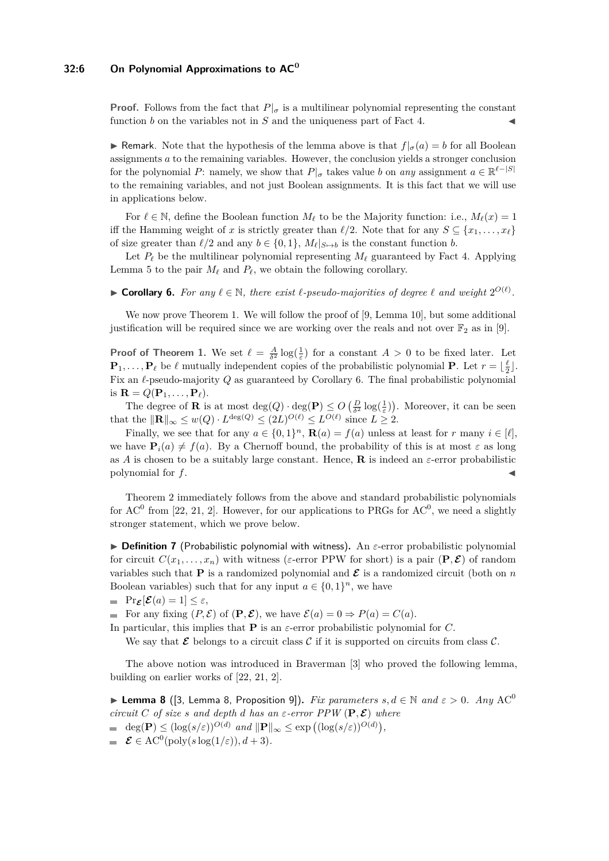## **32:6 On Polynomial Approximations to AC<sup>0</sup>**

**Proof.** Follows from the fact that  $P|_{\sigma}$  is a multilinear polynomial representing the constant function  $b$  on the variables not in  $S$  and the uniqueness part of Fact [4.](#page-4-0)

**If** Remark. Note that the hypothesis of the lemma above is that  $f|_{\sigma}(a) = b$  for all Boolean assignments *a* to the remaining variables. However, the conclusion yields a stronger conclusion for the polynomial *P*: namely, we show that  $P|_{\sigma}$  takes value *b* on *any* assignment  $a \in \mathbb{R}^{\ell-|S|}$ to the remaining variables, and not just Boolean assignments. It is this fact that we will use in applications below.

For  $\ell \in \mathbb{N}$ , define the Boolean function  $M_{\ell}$  to be the Majority function: i.e.,  $M_{\ell}(x) = 1$ iff the Hamming weight of *x* is strictly greater than  $\ell/2$ . Note that for any  $S \subseteq \{x_1, \ldots, x_\ell\}$ of size greater than  $\ell/2$  and any  $b \in \{0, 1\}$ ,  $M_\ell|_{S \mapsto b}$  is the constant function *b*.

Let  $P_\ell$  be the multilinear polynomial representing  $M_\ell$  guaranteed by Fact [4.](#page-4-0) Applying Lemma [5](#page-4-1) to the pair  $M_{\ell}$  and  $P_{\ell}$ , we obtain the following corollary.

<span id="page-5-0"></span>▶ **Corollary 6.** For any  $\ell \in \mathbb{N}$ , there exist  $\ell$ -pseudo-majorities of degree  $\ell$  and weight  $2^{O(\ell)}$ .

We now prove Theorem [1.](#page-1-0) We will follow the proof of [\[9,](#page-11-3) Lemma 10], but some additional justification will be required since we are working over the reals and not over  $\mathbb{F}_2$  as in [\[9\]](#page-11-3).

**Proof of Theorem [1.](#page-1-0)** We set  $\ell = \frac{A}{\delta^2} \log(\frac{1}{\varepsilon})$  for a constant  $A > 0$  to be fixed later. Let  $\mathbf{P}_1, \ldots, \mathbf{P}_\ell$  be  $\ell$  mutually independent copies of the probabilistic polynomial **P**. Let  $r = \lfloor \frac{\ell}{2} \rfloor$ . Fix an  $\ell$ -pseudo-majority  $Q$  as guaranteed by Corollary [6.](#page-5-0) The final probabilistic polynomial is  $\mathbf{R} = Q(\mathbf{P}_1, \dots, \mathbf{P}_\ell).$ 

The degree of **R** is at most  $\deg(Q) \cdot \deg(P) \leq O\left(\frac{D}{\delta^2} \log(\frac{1}{\varepsilon})\right)$ . Moreover, it can be seen that the  $\|\mathbf{R}\|_{\infty} \leq w(Q) \cdot L^{\deg(Q)} \leq (2L)^{O(\ell)} \leq L^{O(\ell)}$  since  $L \geq 2$ .

Finally, we see that for any  $a \in \{0,1\}^n$ ,  $\mathbf{R}(a) = f(a)$  unless at least for *r* many  $i \in [\ell]$ , we have  $P_i(a) \neq f(a)$ . By a Chernoff bound, the probability of this is at most  $\varepsilon$  as long as *A* is chosen to be a suitably large constant. Hence, **R** is indeed an  $\varepsilon$ -error probabilistic polynomial for  $f$ .

Theorem [2](#page-1-1) immediately follows from the above and standard probabilistic polynomials for  $AC^0$  from [\[22,](#page-12-1) [21,](#page-12-2) [2\]](#page-11-0). However, for our applications to PRGs for  $AC^0$ , we need a slightly stronger statement, which we prove below.

 $\triangleright$  **Definition 7** (Probabilistic polynomial with witness). An  $\varepsilon$ -error probabilistic polynomial for circuit  $C(x_1, \ldots, x_n)$  with witness ( $\varepsilon$ -error PPW for short) is a pair  $(\mathbf{P}, \mathbf{E})$  of random variables such that **P** is a randomized polynomial and  $\mathcal{E}$  is a randomized circuit (both on *n* Boolean variables) such that for any input  $a \in \{0,1\}^n$ , we have

$$
= \Pr{\boldsymbol{\varepsilon}[\boldsymbol{\mathcal{E}}(a) = 1] \leq \varepsilon},
$$

For any fixing  $(P, \mathcal{E})$  of  $(\mathbf{P}, \mathcal{E})$ , we have  $\mathcal{E}(a) = 0 \Rightarrow P(a) = C(a)$ .

In particular, this implies that **P** is an  $\varepsilon$ -error probabilistic polynomial for *C*.

We say that  $\mathcal E$  belongs to a circuit class  $\mathcal C$  if it is supported on circuits from class  $\mathcal C$ .

The above notion was introduced in Braverman [\[3\]](#page-11-2) who proved the following lemma, building on earlier works of [\[22,](#page-12-1) [21,](#page-12-2) [2\]](#page-11-0).

<span id="page-5-1"></span>**► Lemma 8** ([\[3,](#page-11-2) Lemma 8, Proposition 9]). *Fix parameters*  $s, d \in \mathbb{N}$  and  $\varepsilon > 0$ . Any AC<sup>0</sup> *circuit C of size s and depth d has an*  $\varepsilon$ *-error PPW* ( $P, E$ ) *where* 

- $\deg(\mathbf{P}) \leq (\log(s/\varepsilon))^{O(d)}$  *and*  $\|\mathbf{P}\|_{\infty} \leq \exp((\log(s/\varepsilon))^{O(d)}),$
- $\mathcal{E} \in \mathrm{AC}^0(\text{poly}(s \log(1/\varepsilon)), d+3).$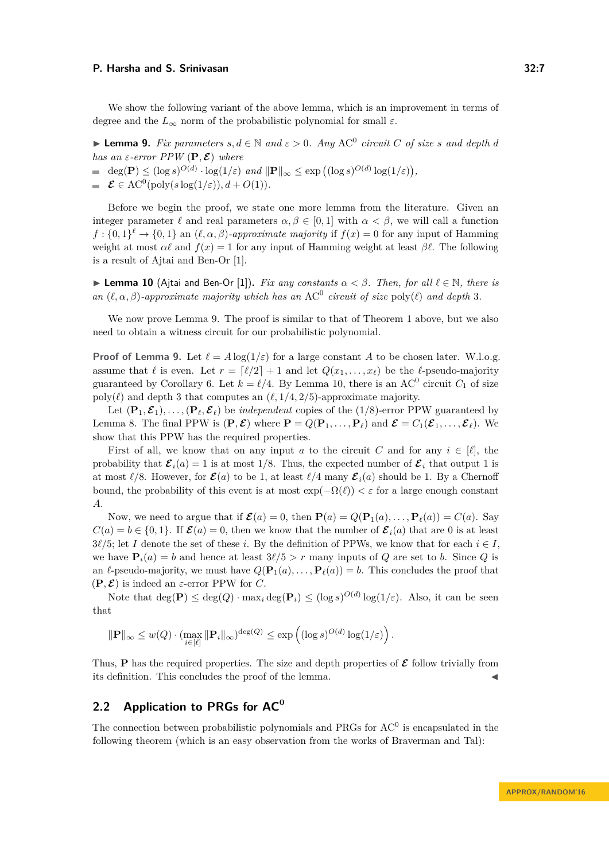We show the following variant of the above lemma, which is an improvement in terms of degree and the  $L_{\infty}$  norm of the probabilistic polynomial for small  $\varepsilon$ .

<span id="page-6-0"></span>▶ **Lemma 9.** *Fix parameters*  $s, d \in \mathbb{N}$  *and*  $\varepsilon > 0$ *. Any* AC<sup>0</sup> *circuit C of size s and depth d has an*  $\varepsilon$ -error PPW  $(P, \mathcal{E})$  where

 $\deg(\mathbf{P}) \leq (\log s)^{O(d)} \cdot \log(1/\varepsilon) \text{ and } ||\mathbf{P}||_{\infty} \leq \exp((\log s)^{O(d)} \log(1/\varepsilon)),$ 

 $\mathcal{E} \in \mathrm{AC}^0(\mathrm{poly}(s\log(1/\varepsilon)), d + O(1)).$ 

Before we begin the proof, we state one more lemma from the literature. Given an integer parameter  $\ell$  and real parameters  $\alpha, \beta \in [0, 1]$  with  $\alpha < \beta$ , we will call a function  $f: \{0,1\}^{\ell} \to \{0,1\}$  an  $(\ell, \alpha, \beta)$ *-approximate majority* if  $f(x) = 0$  for any input of Hamming weight at most  $\alpha \ell$  and  $f(x) = 1$  for any input of Hamming weight at least  $\beta \ell$ . The following is a result of Ajtai and Ben-Or [\[1\]](#page-11-9).

<span id="page-6-1"></span>**I Lemma 10** (Ajtai and Ben-Or [\[1\]](#page-11-9)). *Fix any constants*  $\alpha < \beta$ . Then, for all  $\ell \in \mathbb{N}$ , there is *an*  $(\ell, \alpha, \beta)$ -approximate majority which has an AC<sup>0</sup> circuit of size poly( $\ell$ ) and depth 3.

We now prove Lemma [9.](#page-6-0) The proof is similar to that of Theorem [1](#page-1-0) above, but we also need to obtain a witness circuit for our probabilistic polynomial.

**Proof of Lemma [9.](#page-6-0)** Let  $\ell = A \log(1/\varepsilon)$  for a large constant A to be chosen later. W.l.o.g. assume that  $\ell$  is even. Let  $r = \lceil \ell/2 \rceil + 1$  and let  $Q(x_1, \ldots, x_\ell)$  be the  $\ell$ -pseudo-majority guaranteed by Corollary [6.](#page-5-0) Let  $k = \ell/4$ . By Lemma [10,](#page-6-1) there is an AC<sup>0</sup> circuit  $C_1$  of size poly( $\ell$ ) and depth 3 that computes an  $(\ell, 1/4, 2/5)$ -approximate majority.

Let  $(\mathbf{P}_1, \mathbf{E}_1), \ldots, (\mathbf{P}_\ell, \mathbf{E}_\ell)$  be *independent* copies of the (1/8)-error PPW guaranteed by Lemma [8.](#page-5-1) The final PPW is  $(\mathbf{P}, \mathcal{E})$  where  $\mathbf{P} = Q(\mathbf{P}_1, \dots, \mathbf{P}_\ell)$  and  $\mathcal{E} = C_1(\mathcal{E}_1, \dots, \mathcal{E}_\ell)$ . We show that this PPW has the required properties.

First of all, we know that on any input *a* to the circuit *C* and for any  $i \in [\ell]$ , the probability that  $\mathcal{E}_i(a) = 1$  is at most 1/8. Thus, the expected number of  $\mathcal{E}_i$  that output 1 is at most  $\ell/8$ . However, for  $\mathcal{E}(a)$  to be 1, at least  $\ell/4$  many  $\mathcal{E}_i(a)$  should be 1. By a Chernoff bound, the probability of this event is at most  $\exp(-\Omega(\ell)) < \varepsilon$  for a large enough constant *A*.

Now, we need to argue that if  $\mathcal{E}(a) = 0$ , then  $\mathbf{P}(a) = Q(\mathbf{P}_1(a), \dots, \mathbf{P}_\ell(a)) = C(a)$ . Say  $C(a) = b \in \{0, 1\}$ . If  $\mathcal{E}(a) = 0$ , then we know that the number of  $\mathcal{E}_i(a)$  that are 0 is at least  $3\ell/5$ ; let *I* denote the set of these *i*. By the definition of PPWs, we know that for each  $i \in I$ , we have  $P_i(a) = b$  and hence at least  $3\ell/5 > r$  many inputs of *Q* are set to *b*. Since *Q* is an  $\ell$ -pseudo-majority, we must have  $Q(\mathbf{P}_1(a), \ldots, \mathbf{P}_\ell(a)) = b$ . This concludes the proof that  $(\mathbf{P}, \mathcal{E})$  is indeed an  $\varepsilon$ -error PPW for *C*.

Note that  $\deg(\mathbf{P}) \leq \deg(Q) \cdot \max_i \deg(\mathbf{P}_i) \leq (\log s)^{O(d)} \log(1/\varepsilon)$ . Also, it can be seen that

$$
\|\mathbf{P}\|_{\infty} \leq w(Q) \cdot (\max_{i \in [\ell]} \|\mathbf{P}_i\|_{\infty})^{\deg(Q)} \leq \exp\left( (\log s)^{O(d)} \log(1/\varepsilon) \right).
$$

Thus, **P** has the required properties. The size and depth properties of  $\mathcal{E}$  follow trivially from its definition. This concludes the proof of the lemma.

# **2.2 Application to PRGs for AC<sup>0</sup>**

The connection between probabilistic polynomials and PRGs for  $AC<sup>0</sup>$  is encapsulated in the following theorem (which is an easy observation from the works of Braverman and Tal):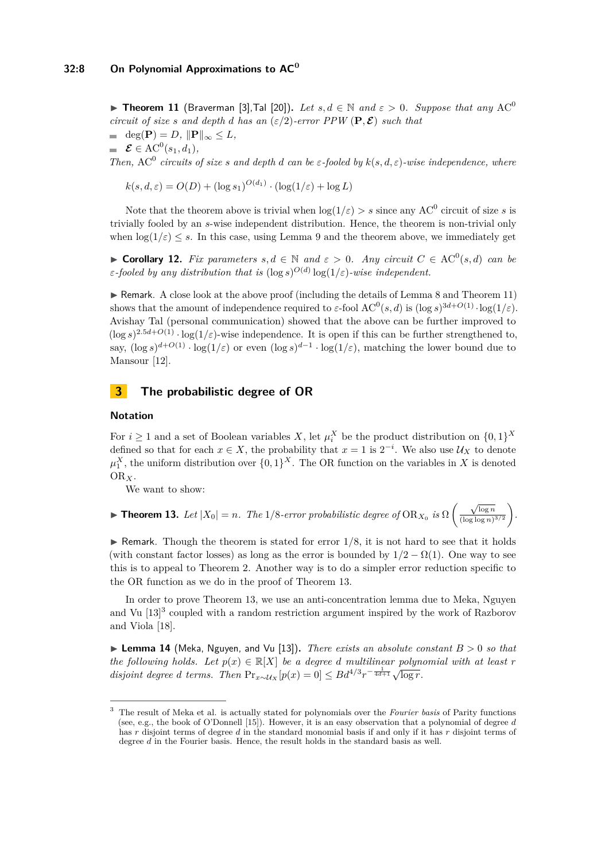<span id="page-7-1"></span>**► Theorem 11** (Braverman [\[3\]](#page-11-2), Tal [\[20\]](#page-12-6)). Let  $s, d \in \mathbb{N}$  and  $\varepsilon > 0$ . Suppose that any AC<sup>0</sup> *circuit of size s and depth d has an* ( $\epsilon/2$ )*-error PPW* ( $P, E$ ) *such that*  $\text{deg}(\textbf{P}) = D, \|\textbf{P}\|_{\infty} \leq L,$  $\mathcal{E} \in \text{AC}^0(s_1, d_1),$ *Then,*  $AC^0$  *circuits of size s and depth d can be ε-fooled by*  $k(s, d, \varepsilon)$ *-wise independence, where* 

 $k(s, d, \varepsilon) = O(D) + (\log s_1)^{O(d_1)} \cdot (\log(1/\varepsilon) + \log L)$ 

Note that the theorem above is trivial when  $\log(1/\varepsilon) > s$  since any AC<sup>0</sup> circuit of size *s* is trivially fooled by an *s*-wise independent distribution. Hence, the theorem is non-trivial only when  $\log(1/\varepsilon) \leq s$ . In this case, using Lemma [9](#page-6-0) and the theorem above, we immediately get

<span id="page-7-0"></span>**► Corollary 12.** *Fix parameters*  $s, d \in \mathbb{N}$  and  $\varepsilon > 0$ . Any circuit  $C \in AC^0(s, d)$  can be *ε-fooled by any distribution that is*  $(\log s)^{O(d)} \log(1/\varepsilon)$ *-wise independent.* 

 $\triangleright$  Remark. A close look at the above proof (including the details of Lemma [8](#page-5-1) and Theorem [11\)](#page-7-1) shows that the amount of independence required to  $\varepsilon$ -fool  $AC^0(s, d)$  is  $(\log s)^{3d+O(1)} \cdot \log(1/\varepsilon)$ . Avishay Tal (personal communication) showed that the above can be further improved to  $(\log s)^{2.5d+O(1)} \cdot \log(1/\varepsilon)$ -wise independence. It is open if this can be further strengthened to, say,  $(\log s)^{d+O(1)} \cdot \log(1/\varepsilon)$  or even  $(\log s)^{d-1} \cdot \log(1/\varepsilon)$ , matching the lower bound due to Mansour [\[12\]](#page-11-5).

# **3 The probabilistic degree of OR**

### **Notation**

For  $i \geq 1$  and a set of Boolean variables *X*, let  $\mu_i^X$  be the product distribution on  $\{0,1\}^X$ defined so that for each  $x \in X$ , the probability that  $x = 1$  is  $2^{-i}$ . We also use  $\mathcal{U}_X$  to denote  $\mu_1^X$ , the uniform distribution over  $\{0,1\}^X$ . The OR function on the variables in *X* is denoted OR*X*.

We want to show:

<span id="page-7-2"></span>**► Theorem 13.** Let  $|X_0| = n$ . The 1/8-error probabilistic degree of  $\text{OR}_{X_0}$  is  $\Omega\left(\frac{\sqrt{\log n}}{(\log \log n)}\right)$  $\frac{\sqrt{\log n}}{(\log \log n)^{3/2}}$ .

 $\triangleright$  Remark. Though the theorem is stated for error  $1/8$ , it is not hard to see that it holds (with constant factor losses) as long as the error is bounded by  $1/2 - \Omega(1)$ . One way to see this is to appeal to Theorem [2.](#page-1-1) Another way is to do a simpler error reduction specific to the OR function as we do in the proof of Theorem [13.](#page-7-2)

In order to prove Theorem [13,](#page-7-2) we use an anti-concentration lemma due to Meka, Nguyen and Vu [\[13\]](#page-11-8) [3](#page-7-3) coupled with a random restriction argument inspired by the work of Razborov and Viola [\[18\]](#page-12-10).

<span id="page-7-4"></span> $\triangleright$  **Lemma 14** (Meka, Nguyen, and Vu [\[13\]](#page-11-8)). *There exists an absolute constant*  $B > 0$  *so that the following holds. Let*  $p(x) \in \mathbb{R}[X]$  *be a degree d multilinear polynomial with at least r disjoint degree d terms. Then*  $\Pr_{x \sim U_X} [p(x) = 0] \leq B d^{4/3} r^{-\frac{1}{4d+1}} \sqrt{\log r}$ .

<span id="page-7-3"></span><sup>3</sup> The result of Meka et al. is actually stated for polynomials over the *Fourier basis* of Parity functions (see, e.g., the book of O'Donnell [\[15\]](#page-12-11)). However, it is an easy observation that a polynomial of degree *d* has *r* disjoint terms of degree *d* in the standard monomial basis if and only if it has *r* disjoint terms of degree *d* in the Fourier basis. Hence, the result holds in the standard basis as well.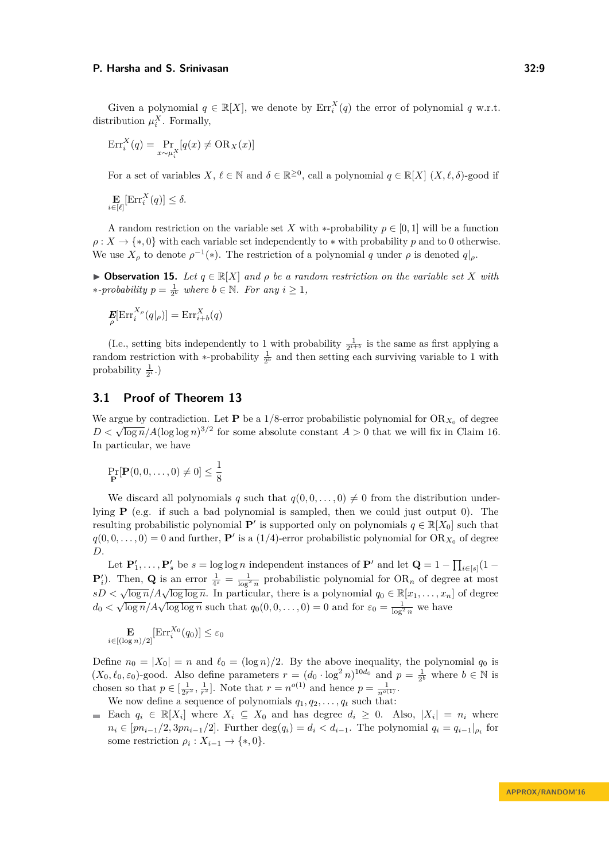Given a polynomial  $q \in \mathbb{R}[X]$ , we denote by  $\mathrm{Err}_i^X(q)$  the error of polynomial  $q$  w.r.t. distribution  $\mu_i^X$ . Formally,

$$
Err_i^X(q) = \Pr_{x \sim \mu_i^X} [q(x) \neq \text{OR}_X(x)]
$$

For a set of variables  $X, \ell \in \mathbb{N}$  and  $\delta \in \mathbb{R}^{\geq 0}$ , call a polynomial  $q \in \mathbb{R}[X]$   $(X, \ell, \delta)$ -good if

$$
\mathbf{E}_{i \in [\ell]}[\text{Err}_i^X(q)] \le \delta.
$$

A random restriction on the variable set X with \*-probability  $p \in [0,1]$  will be a function  $\rho: X \to \{*,0\}$  with each variable set independently to  $*$  with probability *p* and to 0 otherwise. We use  $X_{\rho}$  to denote  $\rho^{-1}(*)$ . The restriction of a polynomial *q* under  $\rho$  is denoted  $q|_{\rho}$ .

<span id="page-8-0"></span> $▶$  **Observation 15.** *Let*  $q \in \mathbb{R}[X]$  *and*  $ρ$  *be a random restriction on the variable set X with \**-probability  $p = \frac{1}{2^b}$  where  $b \in \mathbb{N}$ *. For any*  $i \geq 1$ *,* 

$$
\mathbf{E}[\mathrm{Err}_{i}^{X_{\rho}}(q|_{\rho})] = \mathrm{Err}_{i+b}^{X}(q)
$$

(I.e., setting bits independently to 1 with probability  $\frac{1}{2^{i+b}}$  is the same as first applying a random restriction with \*-probability  $\frac{1}{2^b}$  and then setting each surviving variable to 1 with probability  $\frac{1}{2^i}$ .)

# **3.1 Proof of Theorem [13](#page-7-2)**

We argue by contradiction. Let **P** be a 1/8-error probabilistic polynomial for  $OR_{X_0}$  of degree *D* <  $\sqrt{\log n}/A(\log \log n)^{3/2}$  for some absolute constant *A* > 0 that we will fix in Claim [16.](#page-9-0) In particular, we have

$$
\Pr_{\mathbf{P}}[\mathbf{P}(0,0,\ldots,0)\neq 0] \le \frac{1}{8}
$$

We discard all polynomials *q* such that  $q(0, 0, \ldots, 0) \neq 0$  from the distribution underlying **P** (e.g. if such a bad polynomial is sampled, then we could just output 0). The resulting probabilistic polynomial **P**<sup>*i*</sup> is supported only on polynomials  $q \in \mathbb{R}[X_0]$  such that  $q(0,0,\ldots,0) = 0$  and further, **P**<sup>*i*</sup> is a (1/4)-error probabilistic polynomial for OR<sub>*X*<sup>0</sup></sub> of degree *D*.

Let  $\mathbf{P}'_1, \ldots, \mathbf{P}'_s$  be  $s = \log \log n$  independent instances of  $\mathbf{P}'$  and let  $\mathbf{Q} = 1 - \prod_{i \in [s]} (1 - \log n_i)$ **P**<sup>*i*</sup>). Then, **Q** is an error  $\frac{1}{4^s} = \frac{1}{\log^2 n}$  probabilistic polynomial for OR<sub>*n*</sub> of degree at most  $sD < \sqrt{\log n}/A\sqrt{\log \log n}$ . In particular, there is a polynomial  $q_0 \in \mathbb{R}[x_1, \ldots, x_n]$  of degree  $d_0 < \sqrt{\log n}/A\sqrt{\log \log n}$ . In particular, there is a polynomial  $q_0 \in \mathbb{R}^1$ , ...,  $d_n$ <br> $d_0 < \sqrt{\log n}/A\sqrt{\log \log n}$  such that  $q_0(0, 0, \ldots, 0) = 0$  and for  $\varepsilon_0 = \frac{1}{\log^2 n}$  we have

$$
\mathop{\mathbf{E}}_{i \in [(\log n)/2]}[\mathrm{Err}_i^{X_0}(q_0)] \leq \varepsilon_0
$$

Define  $n_0 = |X_0| = n$  and  $\ell_0 = (\log n)/2$ . By the above inequality, the polynomial  $q_0$  is  $(X_0, \ell_0, \varepsilon_0)$ -good. Also define parameters  $r = (d_0 \cdot \log^2 n)^{10d_0}$  and  $p = \frac{1}{2^b}$  where  $b \in \mathbb{N}$  is chosen so that  $p \in [\frac{1}{2r^2}, \frac{1}{r^2}]$ . Note that  $r = n^{o(1)}$  and hence  $p = \frac{1}{n^{o(1)}}$ .

We now define a sequence of polynomials  $q_1, q_2, \ldots, q_t$  such that:

Each  $q_i \in \mathbb{R}[X_i]$  where  $X_i \subseteq X_0$  and has degree  $d_i \geq 0$ . Also,  $|X_i| = n_i$  where  $n_i \in [pn_{i-1}/2, 3pn_{i-1}/2]$ . Further  $\deg(q_i) = d_i < d_{i-1}$ . The polynomial  $q_i = q_{i-1}|_{\rho_i}$  for some restriction  $\rho_i: X_{i-1} \to \{*,0\}.$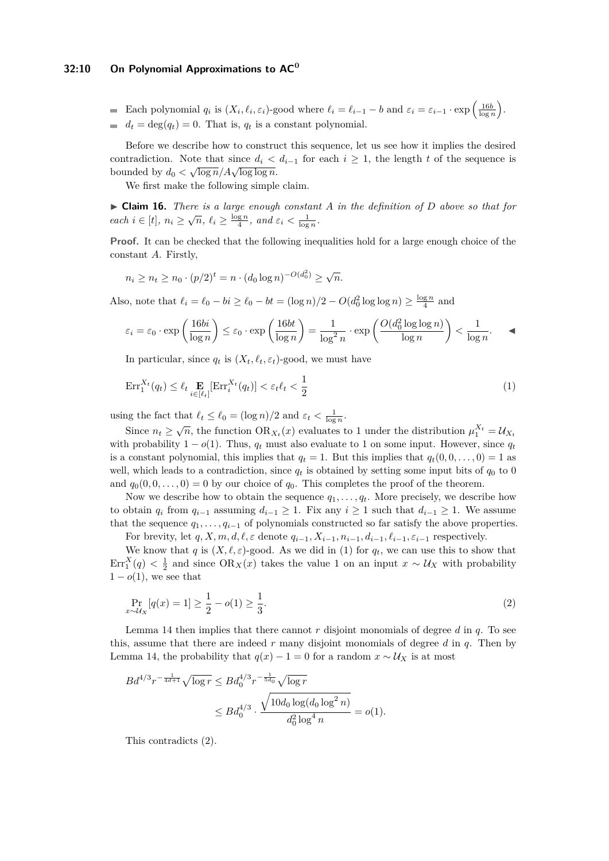### **32:10 On Polynomial Approximations to AC<sup>0</sup>**

- Each polynomial  $q_i$  is  $(X_i, \ell_i, \varepsilon_i)$ -good where  $\ell_i = \ell_{i-1} b$  and  $\varepsilon_i = \varepsilon_{i-1} \cdot \exp\left(\frac{16b}{\log n}\right)$ .
- $d_t = \deg(q_t) = 0$ . That is,  $q_t$  is a constant polynomial.

Before we describe how to construct this sequence, let us see how it implies the desired contradiction. Note that since  $d_i < d_{i-1}$  for each  $i \geq 1$ , the length  $t$  of the sequence is bounded by  $d_0 < \sqrt{\log n}/A\sqrt{\log \log n}$ .

We first make the following simple claim.

<span id="page-9-0"></span>▶ **Claim 16.** *There is a large enough constant A in the definition of D above so that for each*  $i \in [t], n_i \geq \sqrt{n}, \ell_i \geq \frac{\log n}{4}, \text{ and } \varepsilon_i < \frac{1}{\log n}$ .

**Proof.** It can be checked that the following inequalities hold for a large enough choice of the constant *A*. Firstly,

$$
n_i \ge n_t \ge n_0 \cdot (p/2)^t = n \cdot (d_0 \log n)^{-O(d_0^2)} \ge \sqrt{n}.
$$

Also, note that  $\ell_i = \ell_0 - bi \ge \ell_0 - bt = (\log n)/2 - O(d_0^2 \log \log n) \ge \frac{\log n}{4}$  and

$$
\varepsilon_i = \varepsilon_0 \cdot \exp\left(\frac{16bi}{\log n}\right) \le \varepsilon_0 \cdot \exp\left(\frac{16bt}{\log n}\right) = \frac{1}{\log^2 n} \cdot \exp\left(\frac{O(d_0^2 \log \log n)}{\log n}\right) < \frac{1}{\log n}.\tag{4}
$$

<span id="page-9-1"></span>In particular, since  $q_t$  is  $(X_t, \ell_t, \varepsilon_t)$ -good, we must have

$$
\operatorname{Err}_1^{X_t}(q_t) \le \ell_t \underset{i \in [\ell_t]}{\mathbf{E}} [\operatorname{Err}_i^{X_t}(q_t)] < \varepsilon_t \ell_t < \frac{1}{2} \tag{1}
$$

using the fact that  $\ell_t \leq \ell_0 = (\log n)/2$  and  $\varepsilon_t < \frac{1}{\log n}$ .

Since  $n_t \geq \sqrt{n}$ , the function  $OR_{X_t}(x)$  evaluates to 1 under the distribution  $\mu_1^{X_t} = \mathcal{U}_{X_t}$ with probability  $1 - o(1)$ . Thus,  $q_t$  must also evaluate to 1 on some input. However, since  $q_t$ is a constant polynomial, this implies that  $q_t = 1$ . But this implies that  $q_t(0, 0, \ldots, 0) = 1$  as well, which leads to a contradiction, since  $q_t$  is obtained by setting some input bits of  $q_0$  to 0 and  $q_0(0,0,\ldots,0) = 0$  by our choice of  $q_0$ . This completes the proof of the theorem.

Now we describe how to obtain the sequence  $q_1, \ldots, q_t$ . More precisely, we describe how to obtain  $q_i$  from  $q_{i-1}$  assuming  $d_{i-1} \geq 1$ . Fix any  $i \geq 1$  such that  $d_{i-1} \geq 1$ . We assume that the sequence  $q_1, \ldots, q_{i-1}$  of polynomials constructed so far satisfy the above properties.

For brevity, let  $q, X, m, d, \ell, \varepsilon$  denote  $q_{i-1}, X_{i-1}, n_{i-1}, d_{i-1}, \ell_{i-1}, \varepsilon_{i-1}$  respectively.

We know that *q* is  $(X, \ell, \varepsilon)$ -good. As we did in [\(1\)](#page-9-1) for  $q_t$ , we can use this to show that  $\text{Err}_1^X(q) < \frac{1}{2}$  and since  $\text{OR}_X(x)$  takes the value 1 on an input  $x \sim U_X$  with probability  $1 - o(1)$ , we see that

<span id="page-9-2"></span>
$$
\Pr_{x \sim \mathcal{U}_X} [q(x) = 1] \ge \frac{1}{2} - o(1) \ge \frac{1}{3}.\tag{2}
$$

Lemma [14](#page-7-4) then implies that there cannot *r* disjoint monomials of degree *d* in *q*. To see this, assume that there are indeed *r* many disjoint monomials of degree *d* in *q*. Then by Lemma [14,](#page-7-4) the probability that  $q(x) - 1 = 0$  for a random  $x \sim U_X$  is at most

$$
Bd^{4/3}r^{-\frac{1}{4d+1}}\sqrt{\log r} \leq Bd_0^{4/3}r^{-\frac{1}{5d_0}}\sqrt{\log r}
$$
  

$$
\leq Bd_0^{4/3} \cdot \frac{\sqrt{10d_0\log(d_0\log^2 n)}}{d_0^2\log^4 n} = o(1).
$$

This contradicts [\(2\).](#page-9-2)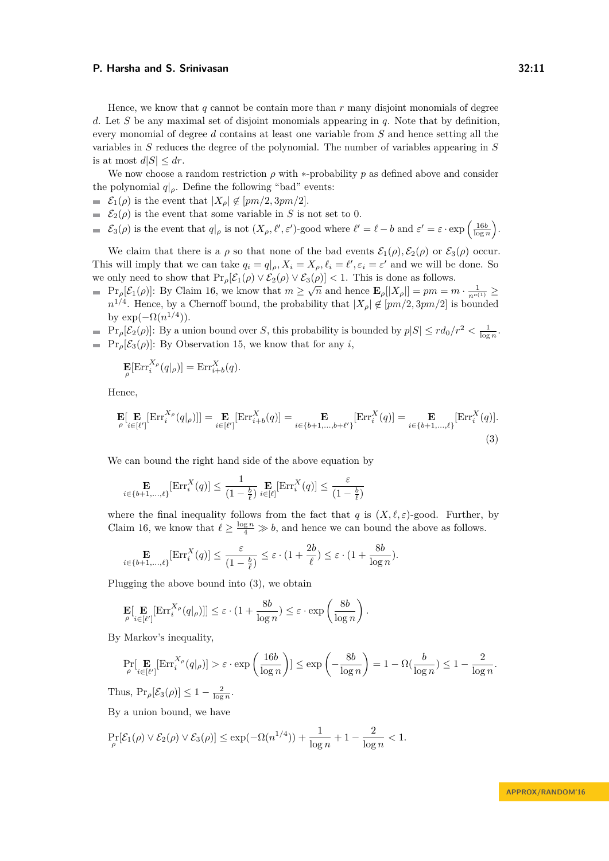Hence, we know that *q* cannot be contain more than *r* many disjoint monomials of degree *d*. Let *S* be any maximal set of disjoint monomials appearing in *q*. Note that by definition, every monomial of degree *d* contains at least one variable from *S* and hence setting all the variables in *S* reduces the degree of the polynomial. The number of variables appearing in *S* is at most  $d|S| \leq dr$ .

We now choose a random restriction  $\rho$  with  $*$ -probability  $p$  as defined above and consider the polynomial  $q|_{\rho}$ . Define the following "bad" events:

- $\in$   $\mathcal{E}_1(\rho)$  is the event that  $|X_{\rho}| \notin [pm/2, 3pm/2]$ .
- $\mathcal{E}_2(\rho)$  is the event that some variable in *S* is not set to 0.
- $\mathcal{E}_3(\rho)$  is the event that  $q|_{\rho}$  is not  $(X_{\rho}, \ell', \varepsilon')$ -good where  $\ell' = \ell b$  and  $\varepsilon' = \varepsilon \cdot \exp\left(\frac{16b}{\log n}\right)$ .

We claim that there is a  $\rho$  so that none of the bad events  $\mathcal{E}_1(\rho), \mathcal{E}_2(\rho)$  or  $\mathcal{E}_3(\rho)$  occur. This will imply that we can take  $q_i = q|_{\rho}, X_i = X_{\rho}, \ell_i = \ell', \epsilon_i = \epsilon'$  and we will be done. So we only need to show that  $\Pr_{\rho}[\mathcal{E}_1(\rho) \vee \mathcal{E}_2(\rho) \vee \mathcal{E}_3(\rho)] < 1$ . This is done as follows.

 $\Pr_{\rho}[\mathcal{E}_1(\rho)]$ : By Claim [16,](#page-9-0) we know that  $m \geq \sqrt{n}$  and hence  $\mathbf{E}_{\rho}[[X_{\rho}]] = pm = m \cdot \frac{1}{n^{o(1)}} \geq$  $n^{1/4}$ . Hence, by a Chernoff bound, the probability that  $|X_{\rho}| \notin [pm/2, 3pm/2]$  is bounded by  $\exp(-\Omega(n^{1/4}))$ .

 $\Pr_{\rho}[\mathcal{E}_2(\rho)]$ : By a union bound over *S*, this probability is bounded by  $p|S| \leq rd_0/r^2 < \frac{1}{\log n}$ .  $\blacksquare$  Pr<sub>ρ</sub>[ $\mathcal{E}_3(\rho)$ ]: By Observation [15,](#page-8-0) we know that for any *i*,

<span id="page-10-0"></span>
$$
\mathbf{E}[\mathrm{Err}_{i}^{X_{\rho}}(q|_{\rho})] = \mathrm{Err}_{i+b}^{X}(q).
$$

Hence,

$$
\mathbf{E}[\mathbf{E}_{\rho}[\mathbf{Err}_{i}^{X_{\rho}}(q_{|\rho})]] = \mathbf{E}_{i \in [\ell']}[\text{Err}_{i+b}^{X}(q)] = \mathbf{E}_{i \in \{b+1,\dots,b+\ell'\}}[\text{Err}_{i}^{X}(q)] = \mathbf{E}_{i \in \{b+1,\dots,\ell\}}[\text{Err}_{i}^{X}(q)].
$$
\n(3)

We can bound the right hand side of the above equation by

$$
\mathop{\mathbf{E}}_{i \in \{b+1,\dots,\ell\}}[\mathrm{Err}_i^X(q)] \le \frac{1}{(1-\frac{b}{\ell})} \mathop{\mathbf{E}}_{i \in [\ell]}[\mathrm{Err}_i^X(q)] \le \frac{\varepsilon}{(1-\frac{b}{\ell})}
$$

where the final inequality follows from the fact that *q* is  $(X, \ell, \varepsilon)$ -good. Further, by Claim [16,](#page-9-0) we know that  $\ell \geq \frac{\log n}{4} \gg b$ , and hence we can bound the above as follows.

$$
\mathop{\mathbf{E}}_{i \in \{b+1,\dots,\ell\}}[\text{Err}_i^X(q)] \le \frac{\varepsilon}{(1-\frac{b}{\ell})} \le \varepsilon \cdot (1+\frac{2b}{\ell}) \le \varepsilon \cdot (1+\frac{8b}{\log n}).
$$

Plugging the above bound into [\(3\),](#page-10-0) we obtain

$$
\mathbf{E}[\mathbf{E}_{\rho}[\text{Err}_{i}^{X_{\rho}}(q|_{\rho})]] \leq \varepsilon \cdot (1 + \frac{8b}{\log n}) \leq \varepsilon \cdot \exp\left(\frac{8b}{\log n}\right).
$$

By Markov's inequality,

$$
\Pr_{\rho}[\mathbf{E}_{i\in[\ell']}\left[\mathrm{Err}_{i}^{X_{\rho}}(q|_{\rho})\right] > \varepsilon \cdot \exp\left(\frac{16b}{\log n}\right)] \le \exp\left(-\frac{8b}{\log n}\right) = 1 - \Omega(\frac{b}{\log n}) \le 1 - \frac{2}{\log n}.
$$

Thus,  $Pr_{\rho}[\mathcal{E}_3(\rho)] \leq 1 - \frac{2}{\log n}$ .

By a union bound, we have

$$
\Pr_{\rho}[\mathcal{E}_1(\rho) \vee \mathcal{E}_2(\rho) \vee \mathcal{E}_3(\rho)] \le \exp(-\Omega(n^{1/4})) + \frac{1}{\log n} + 1 - \frac{2}{\log n} < 1.
$$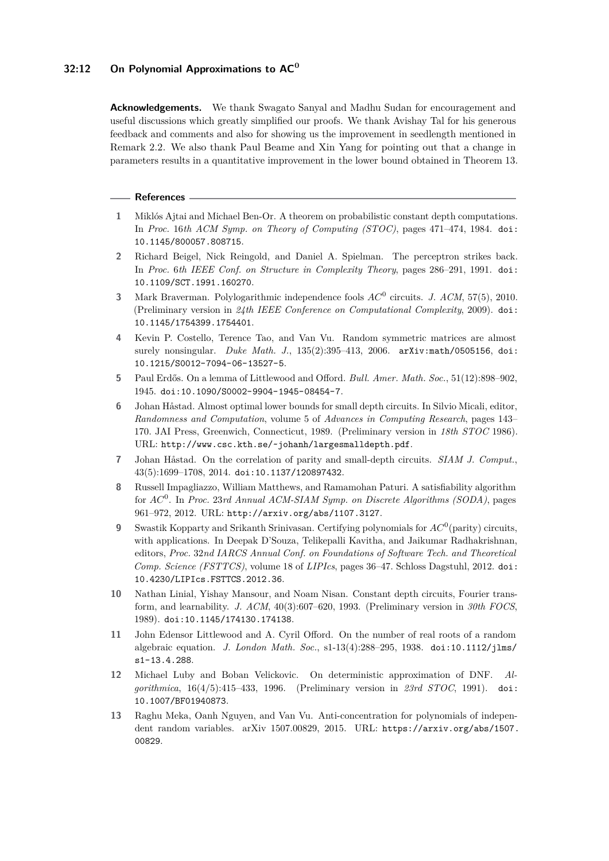# **32:12 On Polynomial Approximations to AC<sup>0</sup>**

**Acknowledgements.** We thank Swagato Sanyal and Madhu Sudan for encouragement and useful discussions which greatly simplified our proofs. We thank Avishay Tal for his generous feedback and comments and also for showing us the improvement in seedlength mentioned in Remark [2.2.](#page-7-0) We also thank Paul Beame and Xin Yang for pointing out that a change in parameters results in a quantitative improvement in the lower bound obtained in Theorem [13.](#page-7-2)

#### **References**

- <span id="page-11-9"></span>**1** Miklós Ajtai and Michael Ben-Or. A theorem on probabilistic constant depth computations. In *Proc.* 16*th ACM Symp. on Theory of Computing (STOC)*, pages 471–474, 1984. [doi:](http://dx.doi.org/10.1145/800057.808715) [10.1145/800057.808715](http://dx.doi.org/10.1145/800057.808715).
- <span id="page-11-0"></span>**2** Richard Beigel, Nick Reingold, and Daniel A. Spielman. The perceptron strikes back. In *Proc.* 6*th IEEE Conf. on Structure in Complexity Theory*, pages 286–291, 1991. [doi:](http://dx.doi.org/10.1109/SCT.1991.160270) [10.1109/SCT.1991.160270](http://dx.doi.org/10.1109/SCT.1991.160270).
- <span id="page-11-2"></span>**3** Mark Braverman. Polylogarithmic independence fools *AC*<sup>0</sup> circuits. *J. ACM*, 57(5), 2010. (Preliminary version in *24th IEEE Conference on Computational Complexity*, 2009). [doi:](http://dx.doi.org/10.1145/1754399.1754401) [10.1145/1754399.1754401](http://dx.doi.org/10.1145/1754399.1754401).
- <span id="page-11-12"></span>**4** Kevin P. Costello, Terence Tao, and Van Vu. Random symmetric matrices are almost surely nonsingular. *Duke Math. J.*, 135(2):395–413, 2006. [arXiv:math/0505156](http://arxiv.org/abs/math/0505156), [doi:](http://dx.doi.org/10.1215/S0012-7094-06-13527-5) [10.1215/S0012-7094-06-13527-5](http://dx.doi.org/10.1215/S0012-7094-06-13527-5).
- <span id="page-11-11"></span>**5** Paul Erdős. On a lemma of Littlewood and Offord. *Bull. Amer. Math. Soc.*, 51(12):898–902, 1945. [doi:10.1090/S0002-9904-1945-08454-7](http://dx.doi.org/10.1090/S0002-9904-1945-08454-7).
- <span id="page-11-1"></span>**6** Johan Håstad. Almost optimal lower bounds for small depth circuits. In Silvio Micali, editor, *Randomness and Computation*, volume 5 of *Advances in Computing Research*, pages 143– 170. JAI Press, Greenwich, Connecticut, 1989. (Preliminary version in *18th STOC* 1986). URL: <http://www.csc.kth.se/~johanh/largesmalldepth.pdf>.
- <span id="page-11-6"></span>**7** Johan Håstad. On the correlation of parity and small-depth circuits. *SIAM J. Comput.*, 43(5):1699–1708, 2014. [doi:10.1137/120897432](http://dx.doi.org/10.1137/120897432).
- <span id="page-11-7"></span>**8** Russell Impagliazzo, William Matthews, and Ramamohan Paturi. A satisfiability algorithm for *AC*<sup>0</sup> . In *Proc.* 23*rd Annual ACM-SIAM Symp. on Discrete Algorithms (SODA)*, pages 961–972, 2012. URL: <http://arxiv.org/abs/1107.3127>.
- <span id="page-11-3"></span>**9** Swastik Kopparty and Srikanth Srinivasan. Certifying polynomials for *AC*<sup>0</sup> (parity) circuits, with applications. In Deepak D'Souza, Telikepalli Kavitha, and Jaikumar Radhakrishnan, editors, *Proc.* 32*nd IARCS Annual Conf. on Foundations of Software Tech. and Theoretical Comp. Science (FSTTCS)*, volume 18 of *LIPIcs*, pages 36–47. Schloss Dagstuhl, 2012. [doi:](http://dx.doi.org/10.4230/LIPIcs.FSTTCS.2012.36) [10.4230/LIPIcs.FSTTCS.2012.36](http://dx.doi.org/10.4230/LIPIcs.FSTTCS.2012.36).
- <span id="page-11-4"></span>**10** Nathan Linial, Yishay Mansour, and Noam Nisan. Constant depth circuits, Fourier transform, and learnability. *J. ACM*, 40(3):607–620, 1993. (Preliminary version in *30th FOCS*, 1989). [doi:10.1145/174130.174138](http://dx.doi.org/10.1145/174130.174138).
- <span id="page-11-10"></span>**11** John Edensor Littlewood and A. Cyril Offord. On the number of real roots of a random algebraic equation. *J. London Math. Soc.*, s1-13(4):288–295, 1938. [doi:10.1112/jlms/](http://dx.doi.org/10.1112/jlms/s1-13.4.288) [s1-13.4.288](http://dx.doi.org/10.1112/jlms/s1-13.4.288).
- <span id="page-11-5"></span>**12** Michael Luby and Boban Velickovic. On deterministic approximation of DNF. *Algorithmica*, 16(4/5):415–433, 1996. (Preliminary version in *23rd STOC*, 1991). [doi:](http://dx.doi.org/10.1007/BF01940873) [10.1007/BF01940873](http://dx.doi.org/10.1007/BF01940873).
- <span id="page-11-8"></span>**13** Raghu Meka, Oanh Nguyen, and Van Vu. Anti-concentration for polynomials of independent random variables. arXiv 1507.00829, 2015. URL: [https://arxiv.org/abs/1507.](https://arxiv.org/abs/1507.00829) [00829](https://arxiv.org/abs/1507.00829).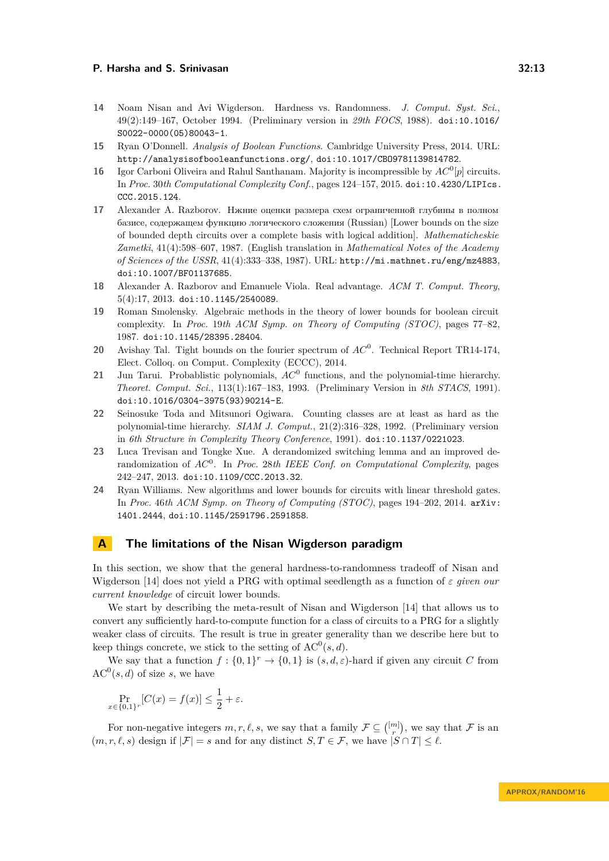- <span id="page-12-7"></span>**14** Noam Nisan and Avi Wigderson. Hardness vs. Randomness. *J. Comput. Syst. Sci.*, 49(2):149–167, October 1994. (Preliminary version in *29th FOCS*, 1988). [doi:10.1016/](http://dx.doi.org/10.1016/S0022-0000(05)80043-1) [S0022-0000\(05\)80043-1](http://dx.doi.org/10.1016/S0022-0000(05)80043-1).
- <span id="page-12-11"></span>**15** Ryan O'Donnell. *Analysis of Boolean Functions*. Cambridge University Press, 2014. URL: <http://analysisofbooleanfunctions.org/>, [doi:10.1017/CBO9781139814782](http://dx.doi.org/10.1017/CBO9781139814782).
- <span id="page-12-4"></span>**16** Igor Carboni Oliveira and Rahul Santhanam. Majority is incompressible by  $AC^0[p]$  circuits. In *Proc.* 30*th Computational Complexity Conf.*, pages 124–157, 2015. [doi:10.4230/LIPIcs.](http://dx.doi.org/10.4230/LIPIcs.CCC.2015.124) [CCC.2015.124](http://dx.doi.org/10.4230/LIPIcs.CCC.2015.124).
- <span id="page-12-0"></span>**17** Alexander A. Razborov. Нжние оценки размера схем ограниченной глубины в полном базисе, содержащем функцию логического сложения (Russian) [Lower bounds on the size of bounded depth circuits over a complete basis with logical addition]. *Mathematicheskie Zametki*, 41(4):598–607, 1987. (English translation in *Mathematical Notes of the Academy of Sciences of the USSR*, 41(4):333–338, 1987). URL: <http://mi.mathnet.ru/eng/mz4883>, [doi:10.1007/BF01137685](http://dx.doi.org/10.1007/BF01137685).
- <span id="page-12-10"></span>**18** Alexander A. Razborov and Emanuele Viola. Real advantage. *ACM T. Comput. Theory*, 5(4):17, 2013. [doi:10.1145/2540089](http://dx.doi.org/10.1145/2540089).
- <span id="page-12-3"></span>**19** Roman Smolensky. Algebraic methods in the theory of lower bounds for boolean circuit complexity. In *Proc.* 19*th ACM Symp. on Theory of Computing (STOC)*, pages 77–82, 1987. [doi:10.1145/28395.28404](http://dx.doi.org/10.1145/28395.28404).
- <span id="page-12-6"></span>**20** Avishay Tal. Tight bounds on the fourier spectrum of *AC*<sup>0</sup> . Technical Report TR14-174, Elect. Colloq. on Comput. Complexity (ECCC), 2014.
- <span id="page-12-2"></span>**21** Jun Tarui. Probablistic polynomials, *AC*<sup>0</sup> functions, and the polynomial-time hierarchy. *Theoret. Comput. Sci.*, 113(1):167–183, 1993. (Preliminary Version in *8th STACS*, 1991). [doi:10.1016/0304-3975\(93\)90214-E](http://dx.doi.org/10.1016/0304-3975(93)90214-E).
- <span id="page-12-1"></span>**22** Seinosuke Toda and Mitsunori Ogiwara. Counting classes are at least as hard as the polynomial-time hierarchy. *SIAM J. Comput.*, 21(2):316–328, 1992. (Preliminary version in *6th Structure in Complexity Theory Conference*, 1991). [doi:10.1137/0221023](http://dx.doi.org/10.1137/0221023).
- <span id="page-12-9"></span>**23** Luca Trevisan and Tongke Xue. A derandomized switching lemma and an improved derandomization of *AC*<sup>0</sup> . In *Proc.* 28*th IEEE Conf. on Computational Complexity*, pages 242–247, 2013. [doi:10.1109/CCC.2013.32](http://dx.doi.org/10.1109/CCC.2013.32).
- <span id="page-12-5"></span>**24** Ryan Williams. New algorithms and lower bounds for circuits with linear threshold gates. In *Proc.* 46*th ACM Symp. on Theory of Computing (STOC)*, pages 194–202, 2014. [arXiv:](http://arxiv.org/abs/1401.2444) [1401.2444](http://arxiv.org/abs/1401.2444), [doi:10.1145/2591796.2591858](http://dx.doi.org/10.1145/2591796.2591858).

# <span id="page-12-8"></span>**A The limitations of the Nisan Wigderson paradigm**

In this section, we show that the general hardness-to-randomness tradeoff of Nisan and Wigderson [\[14\]](#page-12-7) does not yield a PRG with optimal seedlength as a function of *ε given our current knowledge* of circuit lower bounds.

We start by describing the meta-result of Nisan and Wigderson [\[14\]](#page-12-7) that allows us to convert any sufficiently hard-to-compute function for a class of circuits to a PRG for a slightly weaker class of circuits. The result is true in greater generality than we describe here but to keep things concrete, we stick to the setting of  $AC^0(s, d)$ .

We say that a function  $f: \{0,1\}^r \to \{0,1\}$  is  $(s,d,\varepsilon)$ -hard if given any circuit *C* from  $AC^0(s, d)$  of size *s*, we have

$$
\Pr_{x \in \{0,1\}^r}[C(x) = f(x)] \le \frac{1}{2} + \varepsilon.
$$

For non-negative integers  $m, r, \ell, s$ , we say that a family  $\mathcal{F} \subseteq \binom{[m]}{r}$ , we say that  $\mathcal{F}$  is an  $(m, r, \ell, s)$  design if  $|\mathcal{F}| = s$  and for any distinct  $S, T \in \mathcal{F}$ , we have  $|S \cap T| \leq \ell$ .